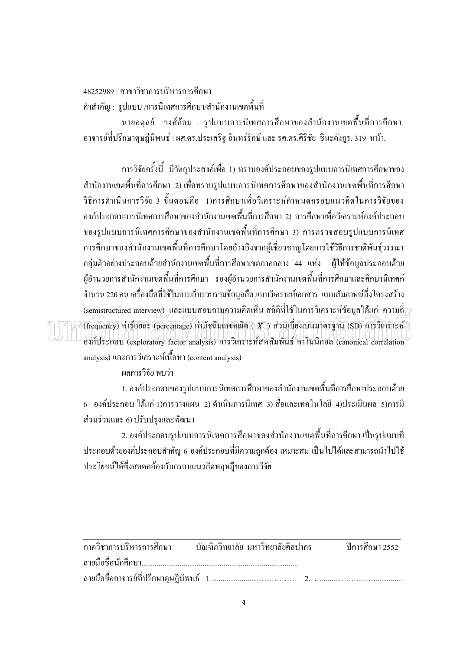<u> 48252989 · สาขาวิชาการบริหารการศึกษา</u> ี คำสำคัญ : รูปแบบ /การนิเทศการศึกษา/สำนักงานเขตพื้นที่

ินายอดุลย์ วงศ์ก้อม : รูปแบบการนิเทศการศึกษาของสำนักงานเขตพื้นที่การศึกษา. ้อาจารย์ที่ปรึกษาคุษฎีนิพนธ์ : ผศ.คร.ประเสริฐ อินทร์รักษ์ และ รศ.คร.ศิริชัย ชินะตังกูร. 319 หน้า.

ิ การวิจัยครั้งนี้ มีวัตถุประสงค์เพื่อ 1) ทราบองค์ประกอบของรูปแบบการนิเทศการศึกษาของ ี สำนักงานเขตพื้นที่การศึกษา 2) เพื่อทราบรูปแบบการนิเทศการศึกษาของสำนักงานเขตพื้นที่การศึกษา ้วิธีการดำเนินการวิจัย 3 ขั้นตอนคือ 1)การศึกษาเพื่อวิเคราะห์กำหนดกรอบแนวคิดในการวิจัยของ ้องค์ประกอบการนิเทศการศึกษาของสำนักงานเขตพื้นที่การศึกษา 2) การศึกษาเพื่อวิเคราะห์องค์ประกอบ ของรูปแบบการนิเทศการศึกษาของสำนักงานเขตพื้นที่การศึกษา 3) การตรวจสอบรูปแบบการนิเทศ ึการศึกษาของสำนักงานเขตพื้นที่การศึกษาโดยอ้างอิงจากผู้เชี่ยวชาญโดยการใช้วิธีการชาติพันธุ์วรรณา ึกลุ่มตัวอย่างประกอบด้วยสำนักงานเขตพื้นที่การศึกษาเขตภาคกลาง 44 แห่ง ผู้ให้ข้อมูลประกอบด้วย ผู้อำนวยการสำนักงานเขตพื้นที่การศึกษา รองผู้อำนวยการสำนักงานเขตพื้นที่การศึกษาและศึกษานิเทศก์ ้ จำนวน 220 คน เครื่องมือที่ใช้ในการเก็บรวบรวมข้อมลคือ แบบวิเคราะห์เอกสาร แบบสัมภาษณ์กึ่งโครงสร้าง (semistructured interview) และแบบสอบถามกวามคิดเห็น สถิติที่ใช้ในการวิเคราะห์ข้อมูลได้แก่ ความถี่ $\rightarrow$  $\widehat{\mathfrak{F}}(\mathfrak{f})$ การ์อยละ (percentage) ค่ามีชนิมเลขคณิต ( $\widehat{K}$ ) ส่วนเบี้ยงเบนมาตรฐาน (SD) การวิเคราะห์ องค์ประกอบ (exploratory factor analysis) การวิเคราะห์สหสัมพันธ์ คาโนนิคอล (canonical correlation analysis) และการวิเคราะห์เนื้อหา (content analysis)

ผลการวิจัย พบว่า

1. องค์ประกอบของรปแบบการนิเทศการศึกษาของสำนักงานเขตพื้นที่การศึกษาประกอบด้วย ี 6 องค์ประกอบ ได้แก่ 1)การวางแผน 2) ดำเนินการนิเทศ 3) สื่อและเทคโนโลยี 4)ประเมินผล 5)การมี ส่วนร่วมและ 6) ปรับปรงและพัฒนา

่ 2. องค์ประกอบรูปแบบการนิเทศการศึกษาของสำนักงานเขตพื้นที่การศึกษา เป็นรูปแบบที่ ี ประกอบด้วยองค์ประกอบสำคัญ 6 องค์ประกอบที่มีความถูกต้อง เหมาะสม เป็นไปได้และสามารถนำไปใช้ ประโยชน์ได้ซึ่งสอดคล้องกับกรอบแนวคิดทฤษฎีของการวิจัย

| ภาควิชาการบริหารการศึกษา บัณฑิตวิทยาลัย มหาวิทยาลัยศิลปากร   ปีการศึกษา 2552 |  |  |
|------------------------------------------------------------------------------|--|--|
|                                                                              |  |  |
|                                                                              |  |  |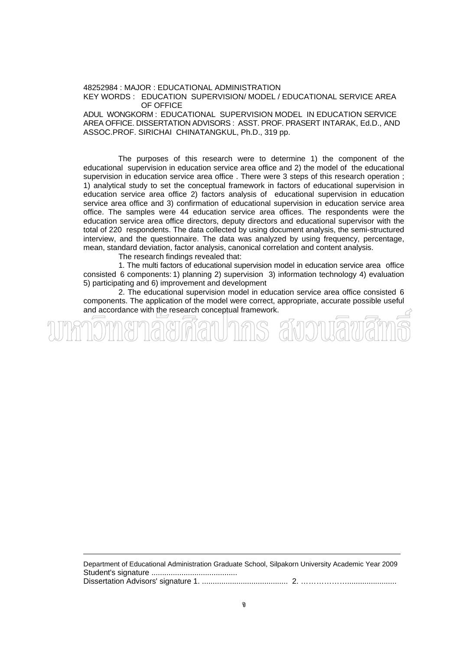48252984 : MAJOR : EDUCATIONAL ADMINISTRATION KEY WORDS : EDUCATION SUPERVISION/ MODEL / EDUCATIONAL SERVICE AREA OF OFFICE

ADUL WONGKORM : EDUCATIONAL SUPERVISION MODEL IN EDUCATION SERVICE AREA OFFICE. DISSERTATION ADVISORS : ASST. PROF. PRASERT INTARAK, Ed.D., AND ASSOC.PROF. SIRICHAI CHINATANGKUL, Ph.D., 319 pp.

The purposes of this research were to determine 1) the component of the educational supervision in education service area office and 2) the model of the educational supervision in education service area office . There were 3 steps of this research operation ; 1) analytical study to set the conceptual framework in factors of educational supervision in education service area office 2) factors analysis of educational supervision in education service area office and 3) confirmation of educational supervision in education service area office. The samples were 44 education service area offices. The respondents were the education service area office directors, deputy directors and educational supervisor with the total of 220 respondents. The data collected by using document analysis, the semi-structured interview, and the questionnaire. The data was analyzed by using frequency, percentage, mean, standard deviation, factor analysis, canonical correlation and content analysis.

The research findings revealed that:

 1. The multi factors of educational supervision model in education service area office consisted 6 components: 1) planning 2) supervision 3) information technology 4) evaluation 5) participating and 6) improvement and development

 2. The educational supervision model in education service area office consisted 6 components. The application of the model were correct, appropriate, accurate possible useful and accordance with the research conceptual framework.

Department of Educational Administration Graduate School, Silpakorn University Academic Year 2009 Student's signature ........................................ Dissertation Advisors' signature 1. ........................................ 2. ……………….......................

)